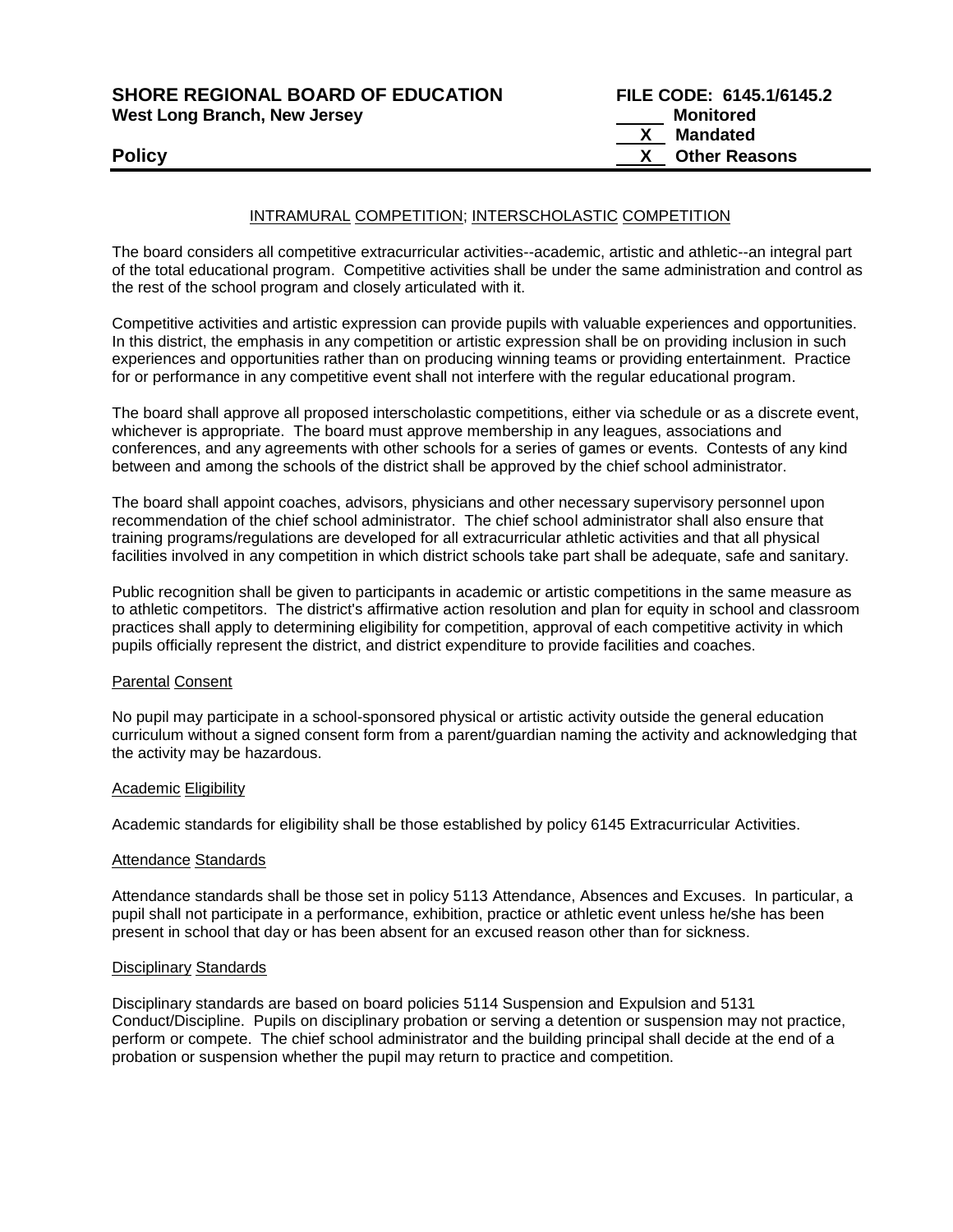| <b>SHORE REGIONAL BOARD OF EDUCATION</b> |
|------------------------------------------|
| <b>West Long Branch, New Jersey</b>      |

## INTRAMURAL COMPETITION; INTERSCHOLASTIC COMPETITION

The board considers all competitive extracurricular activities--academic, artistic and athletic--an integral part of the total educational program. Competitive activities shall be under the same administration and control as the rest of the school program and closely articulated with it.

Competitive activities and artistic expression can provide pupils with valuable experiences and opportunities. In this district, the emphasis in any competition or artistic expression shall be on providing inclusion in such experiences and opportunities rather than on producing winning teams or providing entertainment. Practice for or performance in any competitive event shall not interfere with the regular educational program.

The board shall approve all proposed interscholastic competitions, either via schedule or as a discrete event, whichever is appropriate. The board must approve membership in any leagues, associations and conferences, and any agreements with other schools for a series of games or events. Contests of any kind between and among the schools of the district shall be approved by the chief school administrator.

The board shall appoint coaches, advisors, physicians and other necessary supervisory personnel upon recommendation of the chief school administrator. The chief school administrator shall also ensure that training programs/regulations are developed for all extracurricular athletic activities and that all physical facilities involved in any competition in which district schools take part shall be adequate, safe and sanitary.

Public recognition shall be given to participants in academic or artistic competitions in the same measure as to athletic competitors. The district's affirmative action resolution and plan for equity in school and classroom practices shall apply to determining eligibility for competition, approval of each competitive activity in which pupils officially represent the district, and district expenditure to provide facilities and coaches.

#### Parental Consent

No pupil may participate in a school-sponsored physical or artistic activity outside the general education curriculum without a signed consent form from a parent/guardian naming the activity and acknowledging that the activity may be hazardous.

#### Academic Eligibility

Academic standards for eligibility shall be those established by policy 6145 Extracurricular Activities.

#### Attendance Standards

Attendance standards shall be those set in policy 5113 Attendance, Absences and Excuses. In particular, a pupil shall not participate in a performance, exhibition, practice or athletic event unless he/she has been present in school that day or has been absent for an excused reason other than for sickness.

#### Disciplinary Standards

Disciplinary standards are based on board policies 5114 Suspension and Expulsion and 5131 Conduct/Discipline. Pupils on disciplinary probation or serving a detention or suspension may not practice, perform or compete. The chief school administrator and the building principal shall decide at the end of a probation or suspension whether the pupil may return to practice and competition.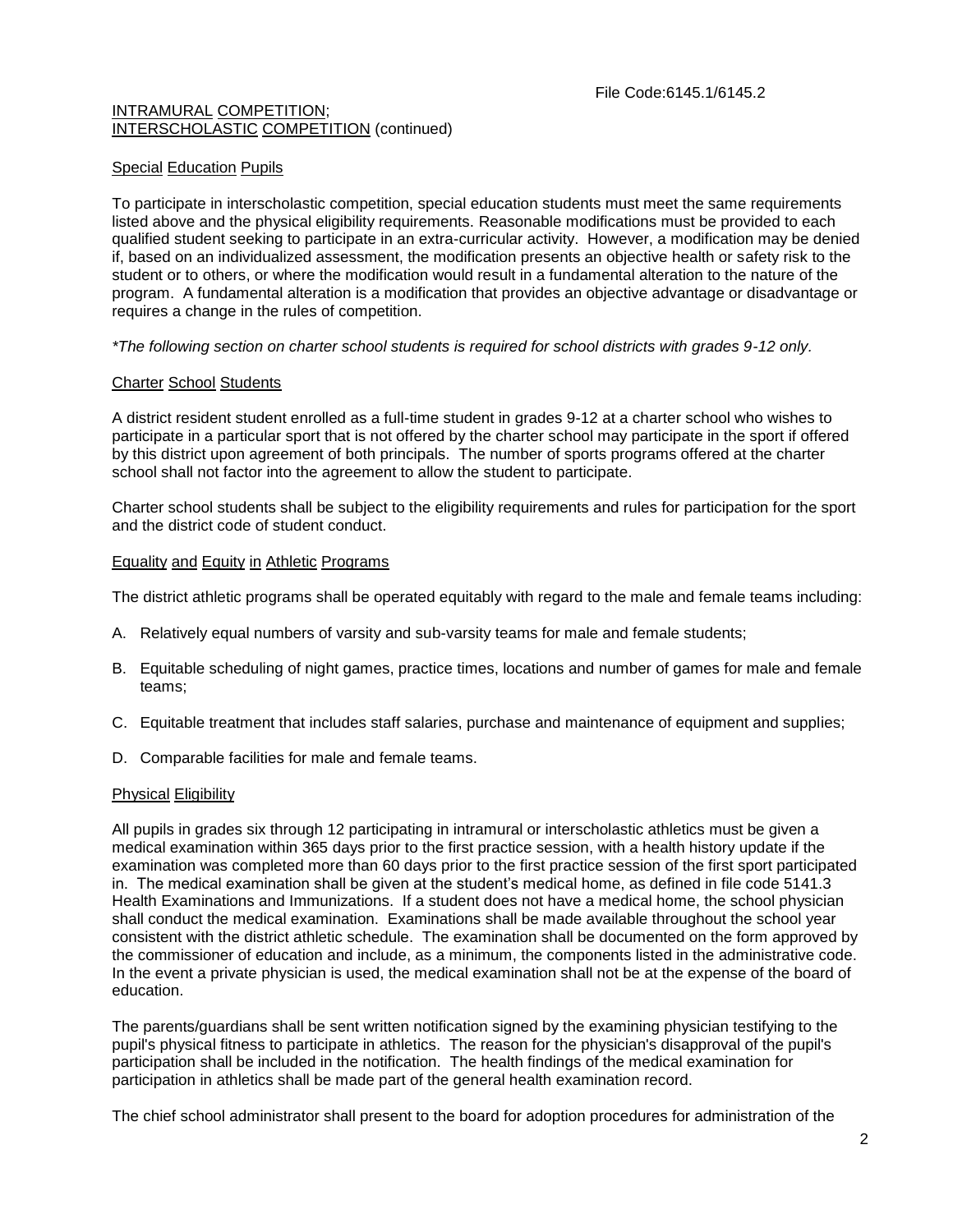## Special Education Pupils

To participate in interscholastic competition, special education students must meet the same requirements listed above and the physical eligibility requirements. Reasonable modifications must be provided to each qualified student seeking to participate in an extra-curricular activity. However, a modification may be denied if, based on an individualized assessment, the modification presents an objective health or safety risk to the student or to others, or where the modification would result in a fundamental alteration to the nature of the program. A fundamental alteration is a modification that provides an objective advantage or disadvantage or requires a change in the rules of competition.

*\*The following section on charter school students is required for school districts with grades 9-12 only.*

## Charter School Students

A district resident student enrolled as a full-time student in grades 9-12 at a charter school who wishes to participate in a particular sport that is not offered by the charter school may participate in the sport if offered by this district upon agreement of both principals. The number of sports programs offered at the charter school shall not factor into the agreement to allow the student to participate.

Charter school students shall be subject to the eligibility requirements and rules for participation for the sport and the district code of student conduct.

## Equality and Equity in Athletic Programs

The district athletic programs shall be operated equitably with regard to the male and female teams including:

- A. Relatively equal numbers of varsity and sub-varsity teams for male and female students;
- B. Equitable scheduling of night games, practice times, locations and number of games for male and female teams;
- C. Equitable treatment that includes staff salaries, purchase and maintenance of equipment and supplies;
- D. Comparable facilities for male and female teams.

#### Physical Eligibility

All pupils in grades six through 12 participating in intramural or interscholastic athletics must be given a medical examination within 365 days prior to the first practice session, with a health history update if the examination was completed more than 60 days prior to the first practice session of the first sport participated in. The medical examination shall be given at the student's medical home, as defined in file code 5141.3 Health Examinations and Immunizations. If a student does not have a medical home, the school physician shall conduct the medical examination. Examinations shall be made available throughout the school year consistent with the district athletic schedule. The examination shall be documented on the form approved by the commissioner of education and include, as a minimum, the components listed in the administrative code. In the event a private physician is used, the medical examination shall not be at the expense of the board of education.

The parents/guardians shall be sent written notification signed by the examining physician testifying to the pupil's physical fitness to participate in athletics. The reason for the physician's disapproval of the pupil's participation shall be included in the notification. The health findings of the medical examination for participation in athletics shall be made part of the general health examination record.

The chief school administrator shall present to the board for adoption procedures for administration of the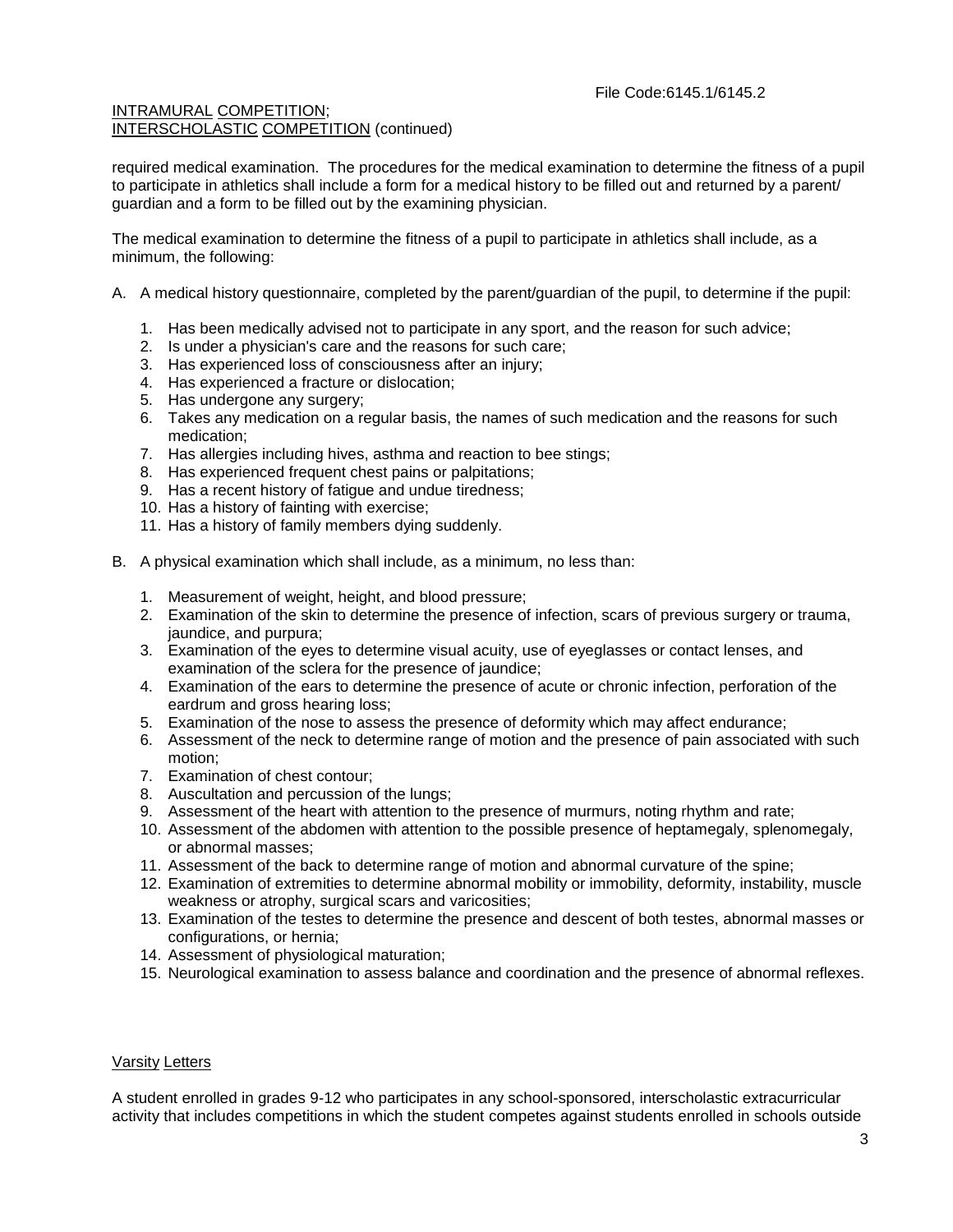required medical examination. The procedures for the medical examination to determine the fitness of a pupil to participate in athletics shall include a form for a medical history to be filled out and returned by a parent/ guardian and a form to be filled out by the examining physician.

The medical examination to determine the fitness of a pupil to participate in athletics shall include, as a minimum, the following:

- A. A medical history questionnaire, completed by the parent/guardian of the pupil, to determine if the pupil:
	- 1. Has been medically advised not to participate in any sport, and the reason for such advice;
	- 2. Is under a physician's care and the reasons for such care;
	- 3. Has experienced loss of consciousness after an injury;
	- 4. Has experienced a fracture or dislocation;
	- 5. Has undergone any surgery;
	- 6. Takes any medication on a regular basis, the names of such medication and the reasons for such medication;
	- 7. Has allergies including hives, asthma and reaction to bee stings;
	- 8. Has experienced frequent chest pains or palpitations;
	- 9. Has a recent history of fatigue and undue tiredness;
	- 10. Has a history of fainting with exercise;
	- 11. Has a history of family members dying suddenly.
- B. A physical examination which shall include, as a minimum, no less than:
	- 1. Measurement of weight, height, and blood pressure;
	- 2. Examination of the skin to determine the presence of infection, scars of previous surgery or trauma, jaundice, and purpura;
	- 3. Examination of the eyes to determine visual acuity, use of eyeglasses or contact lenses, and examination of the sclera for the presence of jaundice;
	- 4. Examination of the ears to determine the presence of acute or chronic infection, perforation of the eardrum and gross hearing loss;
	- 5. Examination of the nose to assess the presence of deformity which may affect endurance;
	- 6. Assessment of the neck to determine range of motion and the presence of pain associated with such motion;
	- 7. Examination of chest contour;
	- 8. Auscultation and percussion of the lungs;
	- 9. Assessment of the heart with attention to the presence of murmurs, noting rhythm and rate;
	- 10. Assessment of the abdomen with attention to the possible presence of heptamegaly, splenomegaly, or abnormal masses;
	- 11. Assessment of the back to determine range of motion and abnormal curvature of the spine;
	- 12. Examination of extremities to determine abnormal mobility or immobility, deformity, instability, muscle weakness or atrophy, surgical scars and varicosities;
	- 13. Examination of the testes to determine the presence and descent of both testes, abnormal masses or configurations, or hernia;
	- 14. Assessment of physiological maturation;
	- 15. Neurological examination to assess balance and coordination and the presence of abnormal reflexes.

#### Varsity Letters

A student enrolled in grades 9-12 who participates in any school-sponsored, interscholastic extracurricular activity that includes competitions in which the student competes against students enrolled in schools outside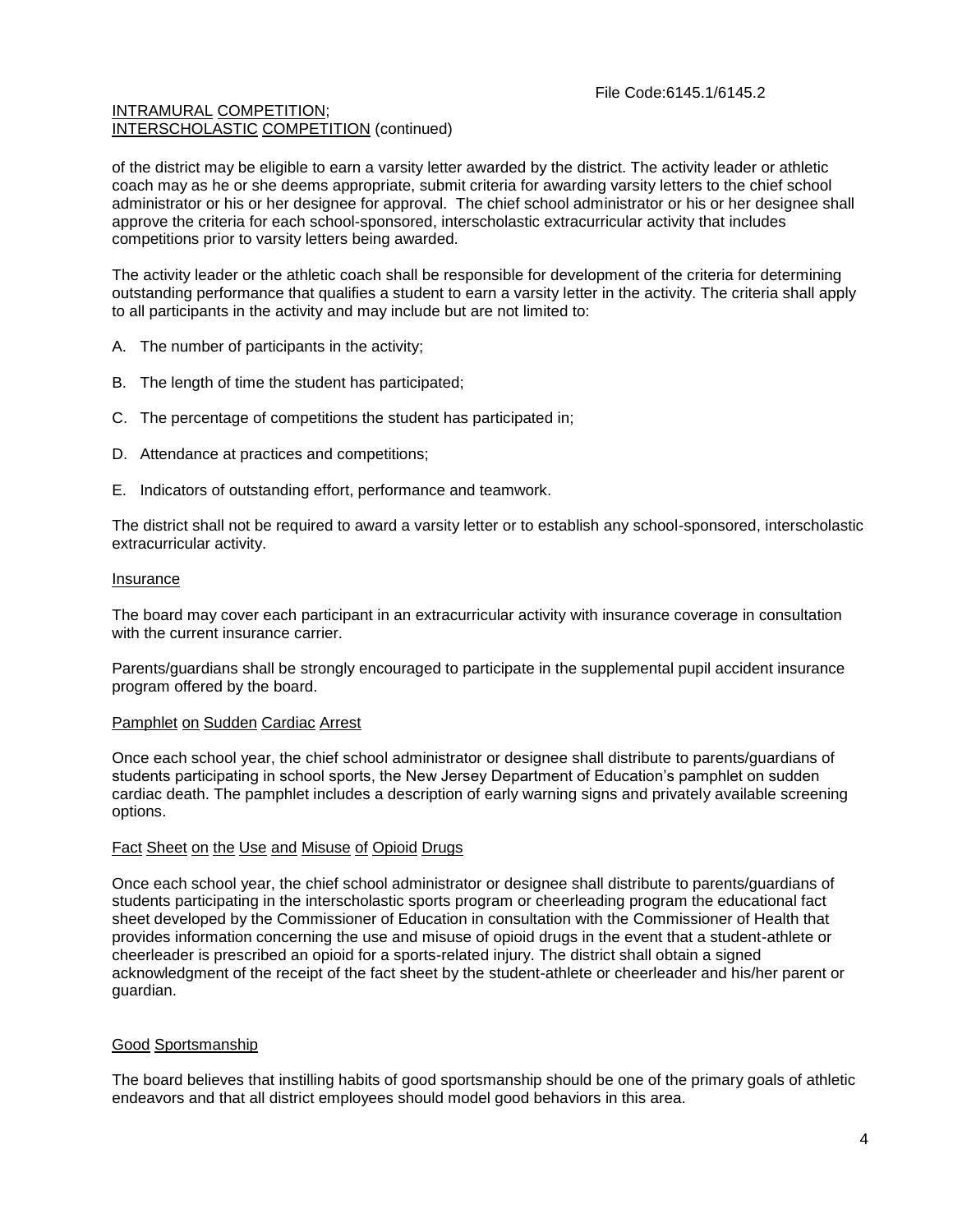of the district may be eligible to earn a varsity letter awarded by the district. The activity leader or athletic coach may as he or she deems appropriate, submit criteria for awarding varsity letters to the chief school administrator or his or her designee for approval. The chief school administrator or his or her designee shall approve the criteria for each school-sponsored, interscholastic extracurricular activity that includes competitions prior to varsity letters being awarded.

The activity leader or the athletic coach shall be responsible for development of the criteria for determining outstanding performance that qualifies a student to earn a varsity letter in the activity. The criteria shall apply to all participants in the activity and may include but are not limited to:

- A. The number of participants in the activity;
- B. The length of time the student has participated;
- C. The percentage of competitions the student has participated in;
- D. Attendance at practices and competitions;
- E. Indicators of outstanding effort, performance and teamwork.

The district shall not be required to award a varsity letter or to establish any school-sponsored, interscholastic extracurricular activity.

#### Insurance

The board may cover each participant in an extracurricular activity with insurance coverage in consultation with the current insurance carrier.

Parents/guardians shall be strongly encouraged to participate in the supplemental pupil accident insurance program offered by the board.

#### Pamphlet on Sudden Cardiac Arrest

Once each school year, the chief school administrator or designee shall distribute to parents/guardians of students participating in school sports, the New Jersey Department of Education's pamphlet on sudden cardiac death. The pamphlet includes a description of early warning signs and privately available screening options.

# Fact Sheet on the Use and Misuse of Opioid Drugs

Once each school year, the chief school administrator or designee shall distribute to parents/guardians of students participating in the interscholastic sports program or cheerleading program the educational fact sheet developed by the Commissioner of Education in consultation with the Commissioner of Health that provides information concerning the use and misuse of opioid drugs in the event that a student-athlete or cheerleader is prescribed an opioid for a sports-related injury. The district shall obtain a signed acknowledgment of the receipt of the fact sheet by the student-athlete or cheerleader and his/her parent or guardian.

# Good Sportsmanship

The board believes that instilling habits of good sportsmanship should be one of the primary goals of athletic endeavors and that all district employees should model good behaviors in this area.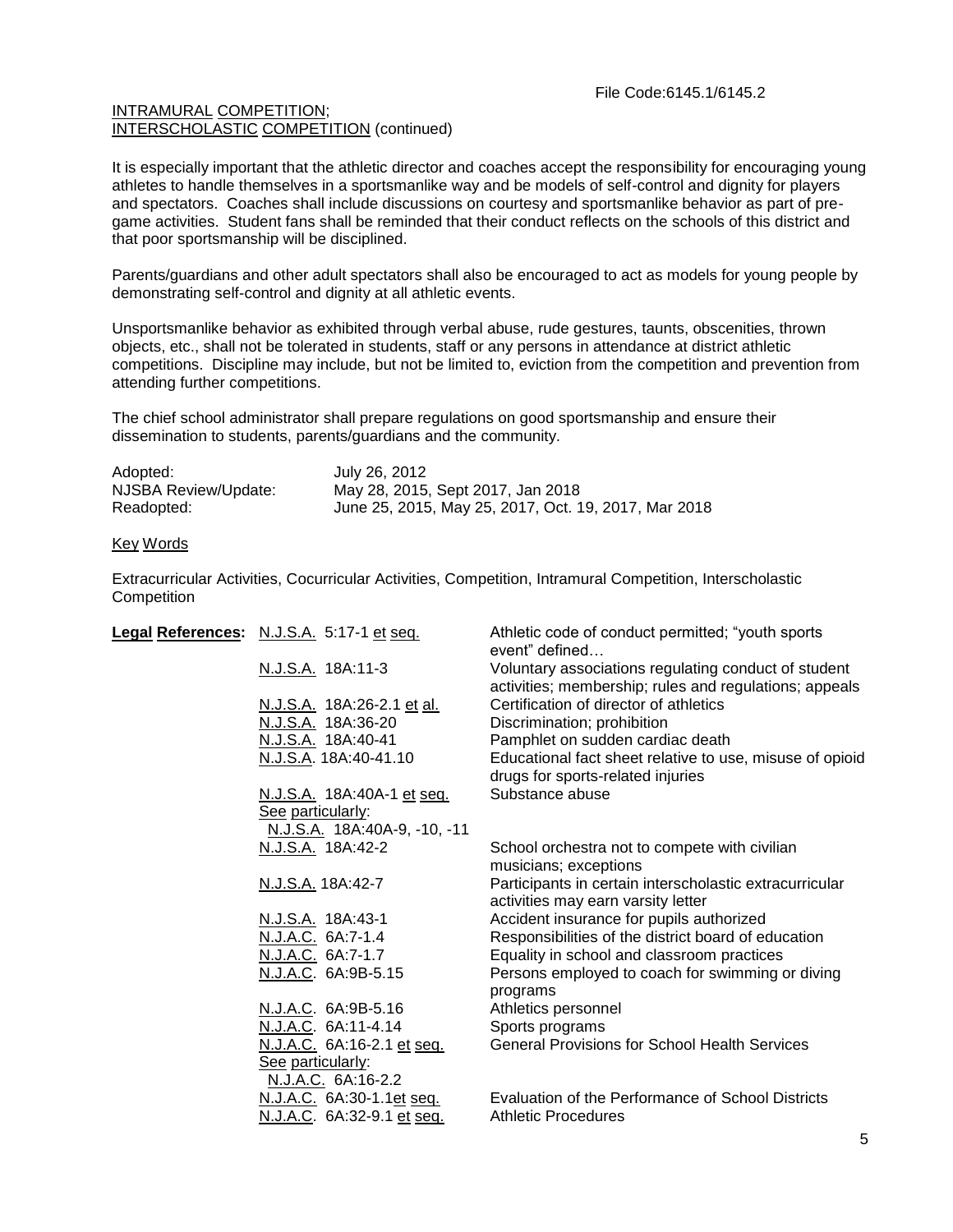It is especially important that the athletic director and coaches accept the responsibility for encouraging young athletes to handle themselves in a sportsmanlike way and be models of self-control and dignity for players and spectators. Coaches shall include discussions on courtesy and sportsmanlike behavior as part of pregame activities. Student fans shall be reminded that their conduct reflects on the schools of this district and that poor sportsmanship will be disciplined.

Parents/guardians and other adult spectators shall also be encouraged to act as models for young people by demonstrating self-control and dignity at all athletic events.

Unsportsmanlike behavior as exhibited through verbal abuse, rude gestures, taunts, obscenities, thrown objects, etc., shall not be tolerated in students, staff or any persons in attendance at district athletic competitions. Discipline may include, but not be limited to, eviction from the competition and prevention from attending further competitions.

The chief school administrator shall prepare regulations on good sportsmanship and ensure their dissemination to students, parents/guardians and the community.

| Adopted:             | July 26, 2012                                        |
|----------------------|------------------------------------------------------|
| NJSBA Review/Update: | May 28, 2015, Sept 2017, Jan 2018                    |
| Readopted:           | June 25, 2015, May 25, 2017, Oct. 19, 2017, Mar 2018 |

#### Key Words

Extracurricular Activities, Cocurricular Activities, Competition, Intramural Competition, Interscholastic **Competition** 

| Legal References: N.J.S.A. 5:17-1 et seq.                             | Athletic code of conduct permitted; "youth sports<br>event" defined                                            |
|-----------------------------------------------------------------------|----------------------------------------------------------------------------------------------------------------|
| N.J.S.A. 18A:11-3                                                     | Voluntary associations regulating conduct of student<br>activities; membership; rules and regulations; appeals |
| N.J.S.A. 18A:26-2.1 et al.                                            | Certification of director of athletics                                                                         |
| N.J.S.A. 18A:36-20                                                    | Discrimination; prohibition                                                                                    |
| N.J.S.A. 18A:40-41                                                    | Pamphlet on sudden cardiac death                                                                               |
| N.J.S.A. 18A:40-41.10                                                 | Educational fact sheet relative to use, misuse of opioid<br>drugs for sports-related injuries                  |
| <u>N.J.S.A.</u> 18A:40A-1 et seq.                                     | Substance abuse                                                                                                |
| See particularly:                                                     |                                                                                                                |
| N.J.S.A. 18A:40A-9, -10, -11                                          |                                                                                                                |
| N.J.S.A. 18A:42-2                                                     | School orchestra not to compete with civilian<br>musicians; exceptions                                         |
| N.J.S.A. 18A:42-7                                                     | Participants in certain interscholastic extracurricular<br>activities may earn varsity letter                  |
| N.J.S.A. 18A:43-1                                                     | Accident insurance for pupils authorized                                                                       |
| N.J.A.C. 6A:7-1.4                                                     | Responsibilities of the district board of education                                                            |
| N.J.A.C. 6A:7-1.7                                                     | Equality in school and classroom practices                                                                     |
| N.J.A.C. 6A:9B-5.15                                                   | Persons employed to coach for swimming or diving<br>programs                                                   |
| N.J.A.C. 6A:9B-5.16                                                   | Athletics personnel                                                                                            |
| N.J.A.C. 6A:11-4.14                                                   | Sports programs                                                                                                |
| N.J.A.C. 6A:16-2.1 et seq.<br>See particularly:<br>N.J.A.C. 6A:16-2.2 | <b>General Provisions for School Health Services</b>                                                           |
| N.J.A.C. 6A:30-1.1et seq.<br>N.J.A.C. 6A:32-9.1 et seq.               | Evaluation of the Performance of School Districts<br><b>Athletic Procedures</b>                                |